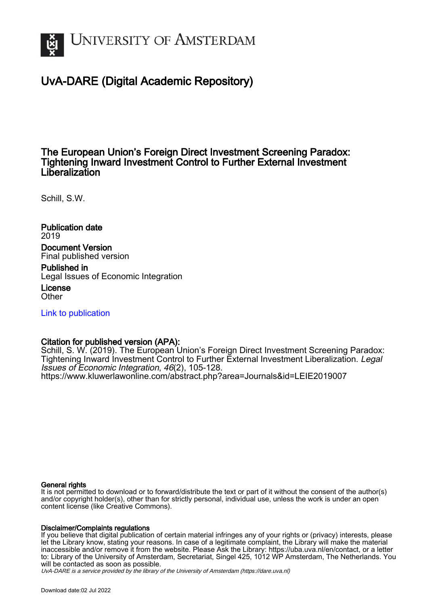

# UvA-DARE (Digital Academic Repository)

# The European Union's Foreign Direct Investment Screening Paradox: Tightening Inward Investment Control to Further External Investment Liberalization

Schill, S.W.

Publication date 2019 Document Version Final published version

Published in Legal Issues of Economic Integration License **Other** 

[Link to publication](https://dare.uva.nl/personal/pure/en/publications/the-european-unions-foreign-direct-investment-screening-paradox-tightening-inward-investment-control-to-further-external-investment-liberalization(81d4a131-3768-46c2-af7f-0d3bee82fabc).html)

### Citation for published version (APA):

Schill, S. W. (2019). The European Union's Foreign Direct Investment Screening Paradox: Tightening Inward Investment Control to Further External Investment Liberalization. Legal Issues of Economic Integration, 46(2), 105-128. <https://www.kluwerlawonline.com/abstract.php?area=Journals&id=LEIE2019007>

#### General rights

It is not permitted to download or to forward/distribute the text or part of it without the consent of the author(s) and/or copyright holder(s), other than for strictly personal, individual use, unless the work is under an open content license (like Creative Commons).

#### Disclaimer/Complaints regulations

If you believe that digital publication of certain material infringes any of your rights or (privacy) interests, please let the Library know, stating your reasons. In case of a legitimate complaint, the Library will make the material inaccessible and/or remove it from the website. Please Ask the Library: https://uba.uva.nl/en/contact, or a letter to: Library of the University of Amsterdam, Secretariat, Singel 425, 1012 WP Amsterdam, The Netherlands. You will be contacted as soon as possible.

UvA-DARE is a service provided by the library of the University of Amsterdam (http*s*://dare.uva.nl)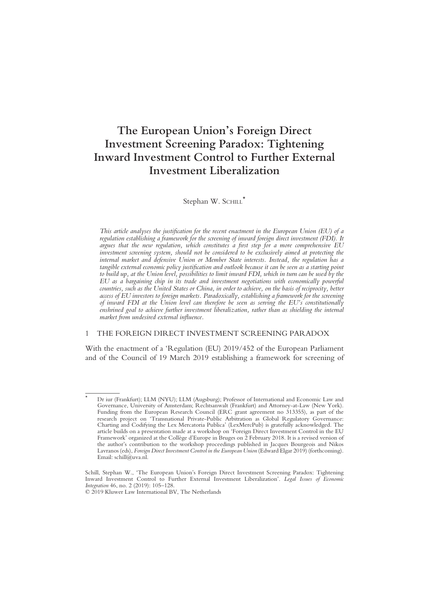# The European Union's Foreign Direct Investment Screening Paradox: Tightening Inward Investment Control to Further External Investment Liberalization

#### Stephan W. SCHILL\*

This article analyses the justification for the recent enactment in the European Union (EU) of a regulation establishing a framework for the screening of inward foreign direct investment (FDI). It argues that the new regulation, which constitutes a first step for a more comprehensive EU investment screening system, should not be considered to be exclusively aimed at protecting the internal market and defensive Union or Member State interests. Instead, the regulation has a tangible external economic policy justification and outlook because it can be seen as a starting point to build up, at the Union level, possibilities to limit inward FDI, which in turn can be used by the EU as a bargaining chip in its trade and investment negotiations with economically powerful countries, such as the United States or China, in order to achieve, on the basis of reciprocity, better access of EU investors to foreign markets. Paradoxically, establishing a framework for the screening of inward FDI at the Union level can therefore be seen as serving the EU's constitutionally enshrined goal to achieve further investment liberalization, rather than as shielding the internal market from undesired external influence.

#### 1 THE FOREIGN DIRECT INVESTMENT SCREENING PARADOX

With the enactment of a 'Regulation (EU) 2019/452 of the European Parliament and of the Council of 19 March 2019 establishing a framework for screening of

Dr iur (Frankfurt); LLM (NYU); LLM (Augsburg); Professor of International and Economic Law and Governance, University of Amsterdam; Rechtsanwalt (Frankfurt) and Attorney-at-Law (New York). Funding from the European Research Council (ERC grant agreement no 313355), as part of the research project on 'Transnational Private-Public Arbitration as Global Regulatory Governance: Charting and Codifying the Lex Mercatoria Publica' (LexMercPub) is gratefully acknowledged. The article builds on a presentation made at a workshop on 'Foreign Direct Investment Control in the EU Framework' organized at the Collège d'Europe in Bruges on 2 February 2018. It is a revised version of the author's contribution to the workshop proceedings published in Jacques Bourgeois and Nikos Lavranos (eds), Foreign Direct Investment Control in the European Union (Edward Elgar 2019) (forthcoming). Email: schill@uva.nl.

Schill, Stephan W., 'The European Union's Foreign Direct Investment Screening Paradox: Tightening Inward Investment Control to Further External Investment Liberalization'. Legal Issues of Economic Integration 46, no. 2 (2019): 105–128.

<sup>© 2019</sup> Kluwer Law International BV, The Netherlands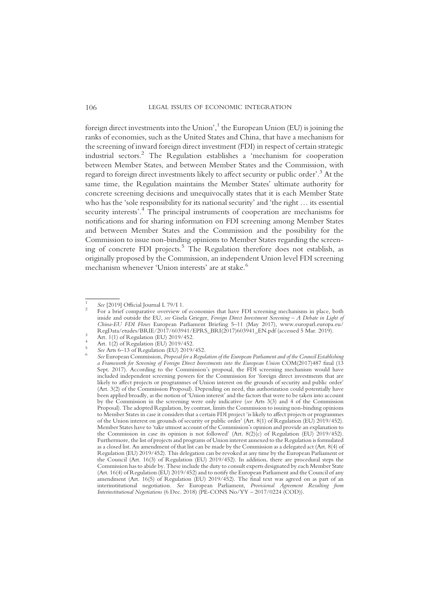foreign direct investments into the Union', <sup>1</sup> the European Union (EU) is joining the ranks of economies, such as the United States and China, that have a mechanism for the screening of inward foreign direct investment (FDI) in respect of certain strategic industrial sectors.<sup>2</sup> The Regulation establishes a 'mechanism for cooperation between Member States, and between Member States and the Commission, with regard to foreign direct investments likely to affect security or public order'. <sup>3</sup> At the same time, the Regulation maintains the Member States' ultimate authority for concrete screening decisions and unequivocally states that it is each Member State who has the 'sole responsibility for its national security' and 'the right … its essential security interests'.<sup>4</sup> The principal instruments of cooperation are mechanisms for notifications and for sharing information on FDI screening among Member States and between Member States and the Commission and the possibility for the Commission to issue non-binding opinions to Member States regarding the screening of concrete FDI projects.<sup>5</sup> The Regulation therefore does not establish, as originally proposed by the Commission, an independent Union level FDI screening mechanism whenever 'Union interests' are at stake.<sup>6</sup>

<sup>&</sup>lt;sup>1</sup> See [2019] Official Journal L 79/I 1.<br><sup>2</sup> For a brief comparative overview of economies that have FDI screening mechanisms in place, both inside and outside the EU, see Gisela Grieger, Foreign Direct Investment Screening – A Debate in Light of China-EU FDI Flows European Parliament Briefing 5–11 (May 2017), www.europarl.europa.eu/

Art. 1(1) of Regulation (EU) 2019/452.<br>
Art. 1(2) of Regulation (EU) 2019/452.<br>
See Arts 6–13 of Regulation (EU) 2019/452.<br>
See European Commission, *Proposal for a Regulation of the European Parliament and of the Council* a Framework for Screening of Foreign Direct Investments into the European Union COM(2017)487 final (13 Sept. 2017). According to the Commission's proposal, the FDI screening mechanism would have included independent screening powers for the Commission for 'foreign direct investments that are likely to affect projects or programmes of Union interest on the grounds of security and public order' (Art. 3(2) of the Commission Proposal). Depending on need, this authorization could potentially have been applied broadly, as the notion of 'Union interest' and the factors that were to be taken into account by the Commission in the screening were only indicative (see Arts 3(3) and 4 of the Commission Proposal). The adopted Regulation, by contrast, limits the Commission to issuing non-binding opinions to Member States in case it considers that a certain FDI project 'is likely to affect projects or programmes of the Union interest on grounds of security or public order' (Art. 8(1) of Regulation (EU) 2019/452). Member States have to 'take utmost account of the Commission's opinion and provide an explanation to the Commission in case its opinion is not followed' (Art.  $8(2)(c)$  of Regulation (EU) 2019/452). Furthermore, the list of projects and programs of Union interest annexed to the Regulation is formulated as a closed list. An amendment of that list can be made by the Commission as a delegated act (Art. 8(4) of Regulation (EU) 2019/452). This delegation can be revoked at any time by the European Parliament or the Council (Art. 16(3) of Regulation (EU) 2019/452). In addition, there are procedural steps the Commission has to abide by. These include the duty to consult experts designated by each Member State (Art. 16(4) of Regulation (EU) 2019/452) and to notify the European Parliament and the Council of any amendment (Art. 16(5) of Regulation (EU) 2019/452). The final text was agreed on as part of an interinstitutional negotiation. See European Parliament, Provisional Agreement Resulting from Interinstitutional Negotiations (6 Dec. 2018) (PE-CONS No/YY - 2017/0224 (COD)).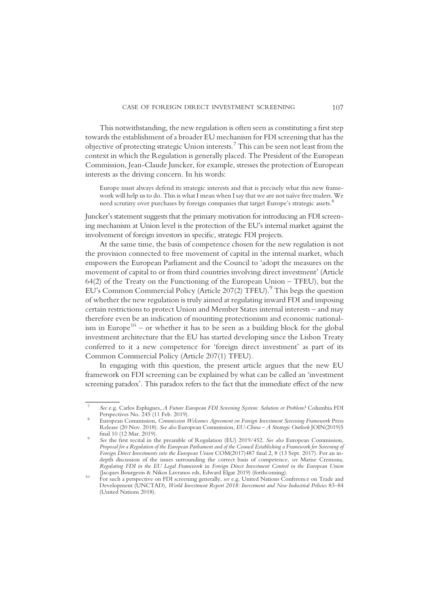This notwithstanding, the new regulation is often seen as constituting a first step towards the establishment of a broader EU mechanism for FDI screening that has the objective of protecting strategic Union interests.7 This can be seen not least from the context in which the Regulation is generally placed. The President of the European Commission, Jean-Claude Juncker, for example, stresses the protection of European interests as the driving concern. In his words:

Europe must always defend its strategic interests and that is precisely what this new framework will help us to do. This is what I mean when I say that we are not naïve free traders. We need scrutiny over purchases by foreign companies that target Europe's strategic assets.<sup>8</sup>

Juncker's statement suggests that the primary motivation for introducing an FDI screening mechanism at Union level is the protection of the EU's internal market against the involvement of foreign investors in specific, strategic FDI projects.

At the same time, the basis of competence chosen for the new regulation is not the provision connected to free movement of capital in the internal market, which empowers the European Parliament and the Council to 'adopt the measures on the movement of capital to or from third countries involving direct investment' (Article 64(2) of the Treaty on the Functioning of the European Union – TFEU), but the EU's Common Commercial Policy (Article 207(2) TFEU).<sup>9</sup> This begs the question of whether the new regulation is truly aimed at regulating inward FDI and imposing certain restrictions to protect Union and Member States internal interests – and may therefore even be an indication of mounting protectionism and economic nationalism in Europe<sup>10</sup> – or whether it has to be seen as a building block for the global investment architecture that the EU has started developing since the Lisbon Treaty conferred to it a new competence for 'foreign direct investment' as part of its Common Commercial Policy (Article 207(1) TFEU).

In engaging with this question, the present article argues that the new EU framework on FDI screening can be explained by what can be called an 'investment screening paradox'. This paradox refers to the fact that the immediate effect of the new

<sup>7</sup> See e.g. Carlos Esplugues, A Future European FDI Screening System: Solution or Problem? Columbia FDI

European Commission, Commission Welcomes Agreement on Foreign Investment Screening Framework Press Release (20 Nov. 2018). *See also* European Commission, *EU-China – A Strategic Outlook* JOIN(2019)5 final 10 (12 Mar. 2019).

See the first recital in the preamble of Regulation (EU) 2019/452. See also European Commission, Proposal for a Regulation of the European Parliament and of the Council Establishing a Framework for Screening of Foreign Direct Investments into the European Union COM(2017)487 final 2, 8 (13 Sept. 2017). For an indepth discussion of the issues surrounding the correct basis of competence, see Marise Cremona, Regulating FDI in the EU Legal Framework in Foreign Direct Investment Control in the European Union (Jacques Bourgeois & Nikos Lavranos eds, Edward Elgar 2019) (forthcoming).

<sup>(</sup>Jacques Bourgeois & Nikos Lavranos eds, Edward Elgar 2019) (forthcoming). <sup>10</sup> For such a perspective on FDI screening generally, see e.g. United Nations Conference on Trade and Development (UNCTAD), World Investment Report 2018: Investment and New Industrial Policies 83–84 (United Nations 2018).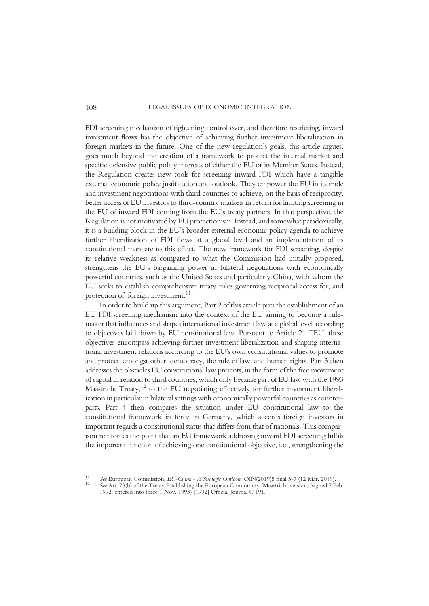FDI screening mechanism of tightening control over, and therefore restricting, inward investment flows has the objective of achieving further investment liberalization in foreign markets in the future. One of the new regulation's goals, this article argues, goes much beyond the creation of a framework to protect the internal market and specific defensive public policy interests of either the EU or its Member States. Instead, the Regulation creates new tools for screening inward FDI which have a tangible external economic policy justification and outlook. They empower the EU in its trade and investment negotiations with third countries to achieve, on the basis of reciprocity, better access of EU investors to third-country markets in return for limiting screening in the EU of inward FDI coming from the EU's treaty partners. In that perspective, the Regulation is not motivated by EU protectionism. Instead, and somewhat paradoxically, it is a building block in the EU's broader external economic policy agenda to achieve further liberalization of FDI flows at a global level and an implementation of its constitutional mandate to this effect. The new framework for FDI screening, despite its relative weakness as compared to what the Commission had initially proposed, strengthens the EU's bargaining power in bilateral negotiations with economically powerful countries, such as the United States and particularly China, with whom the EU seeks to establish comprehensive treaty rules governing reciprocal access for, and protection of, foreign investment. $11$ 

In order to build up this argument, Part 2 of this article puts the establishment of an EU FDI screening mechanism into the context of the EU aiming to become a rulemaker that influences and shapes international investment law at a global level according to objectives laid down by EU constitutional law. Pursuant to Article 21 TEU, these objectives encompass achieving further investment liberalization and shaping international investment relations according to the EU's own constitutional values to promote and protect, amongst other, democracy, the rule of law, and human rights. Part 3 then addresses the obstacles EU constitutional law presents, in the form of the free movement of capital in relation to third countries, which only became part of EU law with the 1993 Maastricht Treaty,<sup>12</sup> to the EU negotiating effectively for further investment liberalization in particular in bilateral settings with economically powerful countries as counterparts. Part 4 then compares the situation under EU constitutional law to the constitutional framework in force in Germany, which accords foreign investors in important regards a constitutional status that differs from that of nationals. This comparison reinforces the point that an EU framework addressing inward FDI screening fulfils the important function of achieving one constitutional objective, i.e., strengthening the

<sup>&</sup>lt;sup>11</sup> See European Commission, *EU-China - A Strategic Outlook JOIN(2019)5 final 5-7 (12 Mar. 2019).*<br><sup>12</sup> See Art. 73(b) of the Treaty Establishing the European Community (Maastricht version) (signed 7 Feb.

<sup>1992,</sup> entered into force 1 Nov. 1993) [1992] Official Journal C 191.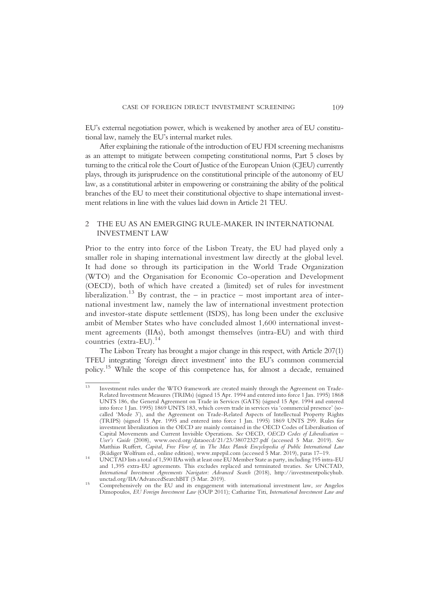EU's external negotiation power, which is weakened by another area of EU constitutional law, namely the EU's internal market rules.

After explaining the rationale of the introduction of EU FDI screening mechanisms as an attempt to mitigate between competing constitutional norms, Part 5 closes by turning to the critical role the Court of Justice of the European Union (CJEU) currently plays, through its jurisprudence on the constitutional principle of the autonomy of EU law, as a constitutional arbiter in empowering or constraining the ability of the political branches of the EU to meet their constitutional objective to shape international investment relations in line with the values laid down in Article 21 TEU.

### 2 THE EU AS AN EMERGING RULE-MAKER IN INTERNATIONAL INVESTMENT LAW

Prior to the entry into force of the Lisbon Treaty, the EU had played only a smaller role in shaping international investment law directly at the global level. It had done so through its participation in the World Trade Organization (WTO) and the Organisation for Economic Co-operation and Development (OECD), both of which have created a (limited) set of rules for investment liberalization.<sup>13</sup> By contrast, the – in practice – most important area of international investment law, namely the law of international investment protection and investor-state dispute settlement (ISDS), has long been under the exclusive ambit of Member States who have concluded almost 1,600 international investment agreements (IIAs), both amongst themselves (intra-EU) and with third countries (extra-EU). $^{14}$ 

The Lisbon Treaty has brought a major change in this respect, with Article 207(1) TFEU integrating 'foreign direct investment' into the EU's common commercial policy.15 While the scope of this competence has, for almost a decade, remained

<sup>13</sup> Investment rules under the WTO framework are created mainly through the Agreement on Trade-Related Investment Measures (TRIMs) (signed 15 Apr. 1994 and entered into force 1 Jan. 1995) 1868 UNTS 186, the General Agreement on Trade in Services (GATS) (signed 15 Apr. 1994 and entered into force 1 Jan. 1995) 1869 UNTS 183, which covers trade in services via 'commercial presence' (socalled 'Mode 3'), and the Agreement on Trade-Related Aspects of Intellectual Property Rights (TRIPS) (signed 15 Apr. 1995 and entered into force 1 Jan. 1995) 1869 UNTS 299. Rules for investment liberalization in the OECD are mainly contained in the OECD Codes of Liberalisation of Capital Movements and Current Invisible Operations. See OECD, OECD Codes of Liberalisation – User's Guide (2008), www.oecd.org/dataoecd/21/23/38072327.pdf (accessed 5 Mar. 2019). See Matthias Ruffert, Capital, Free Flow of, in The Max Planck Encyclopedia of Public International Law (Rüdiger Wolfrum ed., online edition), www.mpepil.com (accessed 5 Mar. 2019), paras 17–19.

<sup>(</sup>Rüdiger Wolfrum ed., online edition), www.mpepil.com (accessed 5 Mar. 2019), paras 17–19. <sup>14</sup> UNCTAD lists a total of 1,590 IIAs with at least one EU Member State as party, including 195 intra-EU and 1,395 extra-EU agreements. This excludes replaced and terminated treaties. See UNCTAD, International Investment Agreements Navigator: Advanced Search (2018), http://investmentpolicyhub.

<sup>15</sup> Comprehensively on the EU and its engagement with international investment law, see Angelos Dimopoulos, EU Foreign Investment Law (OUP 2011); Catharine Titi, International Investment Law and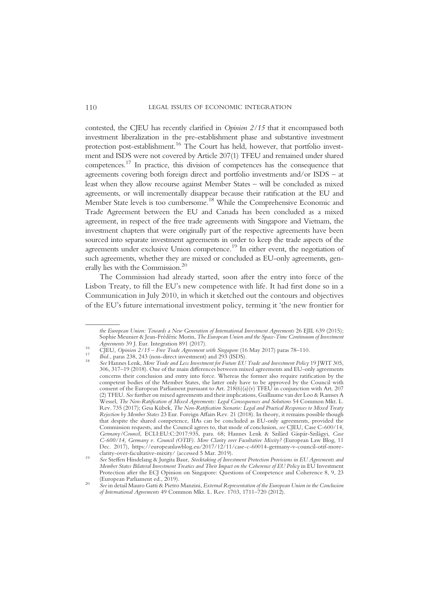contested, the CJEU has recently clarified in Opinion 2/15 that it encompassed both investment liberalization in the pre-establishment phase and substantive investment protection post-establishment.16 The Court has held, however, that portfolio investment and ISDS were not covered by Article 207(1) TFEU and remained under shared competences.17 In practice, this division of competences has the consequence that agreements covering both foreign direct and portfolio investments and/or ISDS – at least when they allow recourse against Member States – will be concluded as mixed agreements, or will incrementally disappear because their ratification at the EU and Member State levels is too cumbersome.18 While the Comprehensive Economic and Trade Agreement between the EU and Canada has been concluded as a mixed agreement, in respect of the free trade agreements with Singapore and Vietnam, the investment chapters that were originally part of the respective agreements have been sourced into separate investment agreements in order to keep the trade aspects of the agreements under exclusive Union competence.<sup>19</sup> In either event, the negotiation of such agreements, whether they are mixed or concluded as EU-only agreements, generally lies with the Commission.<sup>20</sup>

The Commission had already started, soon after the entry into force of the Lisbon Treaty, to fill the EU's new competence with life. It had first done so in a Communication in July 2010, in which it sketched out the contours and objectives of the EU's future international investment policy, terming it 'the new frontier for

the European Union: Towards a New Generation of International Investment Agreements 26 EJIL 639 (2015); Sophie Meunier & Jean-Frédéric Morin, *The European Union and the Space-Time Continuum of Investment Agreements* 39 J. Eur. Integration 891 (2017).

<sup>&</sup>lt;sup>16</sup> CJEU, Opinion  $2/15$  – Free Trade Agreement with Singapore (16 May 2017) paras 78–110.<br><sup>17</sup> Ibid., paras 238, 243 (non-direct investment) and 293 (ISDS).<br><sup>18</sup> See Hannes Lenk, *More Trade and Less Investment for Futu* 306, 317–19 (2018). One of the main differences between mixed agreements and EU-only agreements concerns their conclusion and entry into force. Whereas the former also require ratification by the competent bodies of the Member States, the latter only have to be approved by the Council with consent of the European Parliament pursuant to Art. 218(6)(a)(v) TFEU in conjunction with Art. 207 (2) TFEU. See further on mixed agreements and their implications, Guillaume van der Loo & Ramses A Wessel, The Non-Ratification of Mixed Agreements: Legal Consequences and Solutions 54 Common Mkt. L. Rev. 735 (2017); Gesa Kübek, The Non-Ratification Scenario: Legal and Practical Responses to Mixed Treaty Rejection by Member States 23 Eur. Foreign Affairs Rev. 21 (2018). In theory, it remains possible though that despite the shared competence, IIAs can be concluded as EU-only agreements, provided the Commission requests, and the Council agrees to, that mode of conclusion, see CJEU, Case C-600/14, Germany/Council, ECLI:EU:C:2017:935, para. 68; Hannes Lenk & Szilárd Gáspár-Szilágyi, Case C-600/14, Germany v. Council (OTIF). More Clarity over Facultative Mixity? (European Law Blog, 11 Dec. 2017), https://europeanlawblog.eu/2017/12/11/case-c-60014-germany-v-council-otif-more-

clarity-over-facultative-mixity/ (accessed 5 Mar. 2019). <sup>19</sup> See Steffen Hindelang & Jurgita Baur, Stocktaking of Investment Protection Provisions in EU Agreements and Member States Bilateral Investment Treaties and Their Impact on the Coherence of EU Policy in EU Investment Protection after the ECJ Opinion on Singapore: Questions of Competence and Coherence 8, 9, 23

<sup>&</sup>lt;sup>20</sup> See in detail Mauro Gatti & Pietro Manzini, External Representation of the European Union in the Conclusion of International Agreements 49 Common Mkt. L. Rev. 1703, 1711–720 (2012).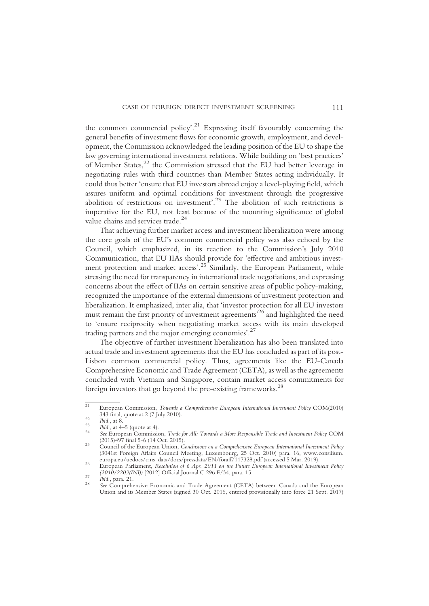the common commercial policy'.<sup>21</sup> Expressing itself favourably concerning the general benefits of investment flows for economic growth, employment, and development, the Commission acknowledged the leading position of the EU to shape the law governing international investment relations. While building on 'best practices' of Member States,<sup>22</sup> the Commission stressed that the EU had better leverage in negotiating rules with third countries than Member States acting individually. It could thus better 'ensure that EU investors abroad enjoy a level-playing field, which assures uniform and optimal conditions for investment through the progressive abolition of restrictions on investment'. <sup>23</sup> The abolition of such restrictions is imperative for the EU, not least because of the mounting significance of global value chains and services trade.<sup>24</sup>

That achieving further market access and investment liberalization were among the core goals of the EU's common commercial policy was also echoed by the Council, which emphasized, in its reaction to the Commission's July 2010 Communication, that EU IIAs should provide for 'effective and ambitious investment protection and market access'.<sup>25</sup> Similarly, the European Parliament, while stressing the need for transparency in international trade negotiations, and expressing concerns about the effect of IIAs on certain sensitive areas of public policy-making, recognized the importance of the external dimensions of investment protection and liberalization. It emphasized, inter alia, that 'investor protection for all EU investors must remain the first priority of investment agreements' <sup>26</sup> and highlighted the need to 'ensure reciprocity when negotiating market access with its main developed trading partners and the major emerging economies'. 27

The objective of further investment liberalization has also been translated into actual trade and investment agreements that the EU has concluded as part of its post-Lisbon common commercial policy. Thus, agreements like the EU-Canada Comprehensive Economic and Trade Agreement (CETA), as well as the agreements concluded with Vietnam and Singapore, contain market access commitments for foreign investors that go beyond the pre-existing frameworks.<sup>28</sup>

<sup>&</sup>lt;sup>21</sup> European Commission, *Towards a Comprehensive European International Investment Policy COM(2010)*<br>343 final, quote at 2 (7 July 2010).

<sup>&</sup>lt;sup>22</sup> *Johna, quote at 2 (7 July 2010).*<br>
<sup>23</sup> *Ibid.*, at 8.<br>
<sup>23</sup> *Bid.*, at 4–5 (quote at 4).<br> *See European Commission, Trade for All: Towards a More Responsible Trade and Investment Policy COM*<br>
(2015)497 final 5-6 (1

<sup>(2015)497</sup> final 5-6 (14 Oct. 2015). <sup>25</sup> Council of the European Union, Conclusions on a Comprehensive European International Investment Policy (3041st Foreign Affairs Council Meeting, Luxembourg, 25 Oct. 2010) para. 16, www.consilium.

<sup>&</sup>lt;sup>26</sup> European Parliament, Resolution of 6 Apr. 2011 on the Future European International Investment Policy (2010/2203(INI)) [2012] Official Journal C 296 E/34, para. 15.

<sup>(2010/2203(</sup>INI)) [2012] Official Journal C 296 E/34, para. 15. <sup>27</sup> Ibid., para. 21. <sup>28</sup> See Comprehensive Economic and Trade Agreement (CETA) between Canada and the European Union and its Member States (signed 30 Oct. 2016, entered provisionally into force 21 Sept. 2017)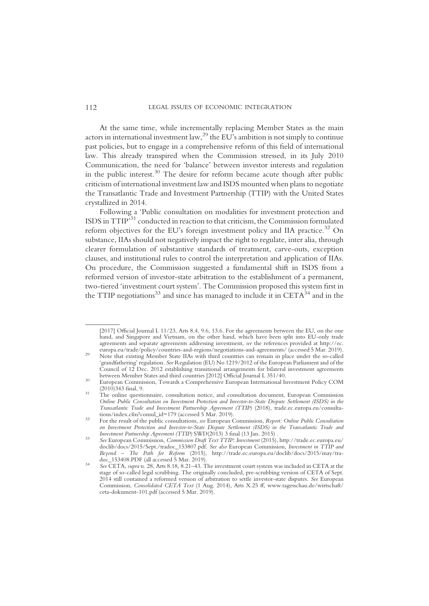At the same time, while incrementally replacing Member States as the main actors in international investment law,  $^{29}$  the EU's ambition is not simply to continue past policies, but to engage in a comprehensive reform of this field of international law. This already transpired when the Commission stressed, in its July 2010 Communication, the need for 'balance' between investor interests and regulation in the public interest. $30$  The desire for reform became acute though after public criticism of international investment law and ISDS mounted when plans to negotiate the Transatlantic Trade and Investment Partnership (TTIP) with the United States crystallized in 2014.

Following a 'Public consultation on modalities for investment protection and ISDS in TTIP<sup>531</sup> conducted in reaction to that criticism, the Commission formulated reform objectives for the EU's foreign investment policy and IIA practice.<sup>32</sup> On substance, IIAs should not negatively impact the right to regulate, inter alia, through clearer formulation of substantive standards of treatment, carve-outs, exception clauses, and institutional rules to control the interpretation and application of IIAs. On procedure, the Commission suggested a fundamental shift in ISDS from a reformed version of investor-state arbitration to the establishment of a permanent, two-tiered 'investment court system'. The Commission proposed this system first in the TTIP negotiations<sup>33</sup> and since has managed to include it in CETA<sup>34</sup> and in the

<sup>[2017]</sup> Official Journal L 11/23, Arts 8.4, 9.6, 13.6. For the agreements between the EU, on the one hand, and Singapore and Vietnam, on the other hand, which have been split into EU-only trade agreements and separate agreements addressing investment, see the references provided at http://ec.

europa.eu/trade/policy/countries-and-regions/negotiations-and-agreements/ (accessed 5 Mar. 2019). <sup>29</sup> Note that existing Member State IIAs with third countries can remain in place under the so-called 'grandfathering' regulation. See Regulation (EU) No 1219/2012 of the European Parliament and of the Council of 12 Dec. 2012 establishing transitional arrangements for bilateral investment agreements

<sup>&</sup>lt;sup>30</sup> European Commission, Towards a Comprehensive European International Investment Policy COM

<sup>(2010)343</sup> final, 9. <sup>31</sup> The online questionnaire, consultation notice, and consultation document, European Commission Online Public Consultation on Investment Protection and Investor-to-State Dispute Settlement (ISDS) in the Transatlantic Trade and Investment Partnership Agreement (TTIP) (2018), trade.ec.europa.eu/consulta-

<sup>&</sup>lt;sup>32</sup> For the result of the public consultations, see European Commission, Report: Online Public Consultation on Investment Protection and Investor-to-State Dispute Settlement (ISDS) in the Transatlantic Trade and Investment Partnership Agreement (TTIP) SWD(2013) 3 final (13 Jan. 2015).

Investment Partnership Agreement (TTIP) SWD(2013) 3 final (13 Jan. 2015) . <sup>33</sup> See European Commission, Commission Draft Text TTIP: Investment (2015), http://trade.ec.europa.eu/ doclib/docs/2015/Sept./tradoc\_153807.pdf. See also European Commission, Investment in TTIP and Beyond – The Path for Reform (2015), http://trade.ec.europa.eu/doclib/docs/2015/may/tra-doc 153408.PDF (all accessed 5 Mar. 2019).

<sup>&</sup>lt;sup>34</sup> See CETA, supra n. 28, Arts 8.18, 8.21–43. The investment court system was included in CETA at the stage of so-called legal scrubbing. The originally concluded, pre-scrubbing version of CETA of Sept. 2014 still contained a reformed version of arbitration to settle investor-state disputes. See European Commission, Consolidated CETA Text (1 Aug. 2014), Arts X.25 ff, www.tagesschau.de/wirtschaft/ ceta-dokument-101.pdf (accessed 5 Mar. 2019).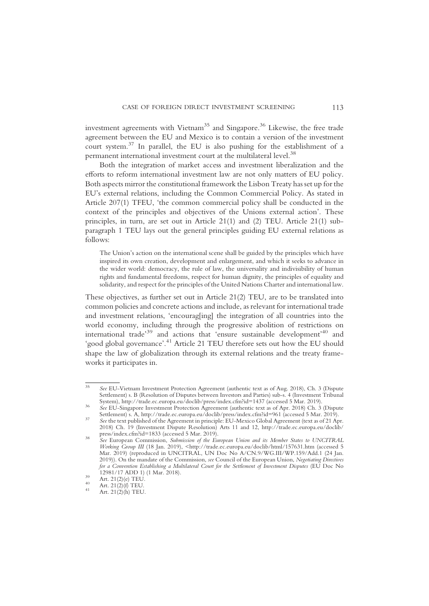investment agreements with Vietnam<sup>35</sup> and Singapore.<sup>36</sup> Likewise, the free trade agreement between the EU and Mexico is to contain a version of the investment court system.<sup>37</sup> In parallel, the EU is also pushing for the establishment of a permanent international investment court at the multilateral level.<sup>38</sup>

Both the integration of market access and investment liberalization and the efforts to reform international investment law are not only matters of EU policy. Both aspects mirror the constitutional framework the Lisbon Treaty has set up for the EU's external relations, including the Common Commercial Policy. As stated in Article 207(1) TFEU, 'the common commercial policy shall be conducted in the context of the principles and objectives of the Unions external action'. These principles, in turn, are set out in Article 21(1) and (2) TEU. Article 21(1) subparagraph 1 TEU lays out the general principles guiding EU external relations as follows:

The Union's action on the international scene shall be guided by the principles which have inspired its own creation, development and enlargement, and which it seeks to advance in the wider world: democracy, the rule of law, the universality and indivisibility of human rights and fundamental freedoms, respect for human dignity, the principles of equality and solidarity, and respect for the principles of the United Nations Charter and international law.

These objectives, as further set out in Article 21(2) TEU, are to be translated into common policies and concrete actions and include, as relevant for international trade and investment relations, 'encourag[ing] the integration of all countries into the world economy, including through the progressive abolition of restrictions on international trade<sup>39</sup> and actions that 'ensure sustainable development'<sup>40</sup> and 'good global governance'.<sup>41</sup> Article 21 TEU therefore sets out how the EU should shape the law of globalization through its external relations and the treaty frameworks it participates in.

<sup>35</sup> See EU-Vietnam Investment Protection Agreement (authentic text as of Aug. 2018), Ch. 3 (Dispute Settlement) s. B (Resolution of Disputes between Investors and Parties) sub-s. 4 (Investment Tribunal System), http://trade.ec.europa.eu/doclib/press/index.cfm?id=1437 (accessed 5 Mar. 2019).

See EU-Singapore Investment Protection Agreement (authentic text as of Apr. 2018) Ch. 3 (Dispute Settlement) s. A, http://trade.ec.europa.eu/doclib/press/index.cfm?id=961 (accessed 5 Mar. 2019).

See the text published of the Agreement in principle: EU-Mexico Global Agreement (text as of 21 Apr. 2018) Ch. 19 (Investment Dispute Resolution) Arts 11 and 12, http://trade.ec.europa.eu/doclib/

<sup>&</sup>lt;sup>38</sup> See European Commission, Submission of the European Union and its Member States to UNCITRAL Working Group III (18 Jan. 2019), <http://trade.ec.europa.eu/doclib/html/157631.htm (accessed 5 Mar. 2019) (reproduced in UNCITRAL, UN Doc No A/CN.9/WG.III/WP.159/Add.1 (24 Jan. 2019)). On the mandate of the Commission, see Council of the European Union, Negotiating Directives for a Convention Establishing a Multilateral Court for the Settlement of Investment Disputes (EU Doc No 12981/17 ADD 1) (1 Mar. 2018).<br>
<sup>39</sup> Art. 21(2)(e) TEU.<br>
<sup>40</sup> Art. 21(2)(f) TEU.<br>
<sup>41</sup> Art. 21(2)(h) TEU.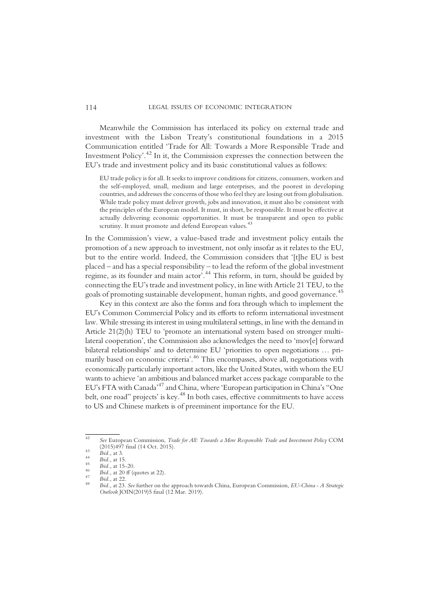Meanwhile the Commission has interlaced its policy on external trade and investment with the Lisbon Treaty's constitutional foundations in a 2015 Communication entitled 'Trade for All: Towards a More Responsible Trade and Investment Policy'. <sup>42</sup> In it, the Commission expresses the connection between the EU's trade and investment policy and its basic constitutional values as follows:

EU trade policy is for all. It seeks to improve conditions for citizens, consumers, workers and the self-employed, small, medium and large enterprises, and the poorest in developing countries, and addresses the concerns of those who feel they are losing out from globalisation. While trade policy must deliver growth, jobs and innovation, it must also be consistent with the principles of the European model. It must, in short, be responsible. It must be effective at actually delivering economic opportunities. It must be transparent and open to public scrutiny. It must promote and defend European values.<sup>43</sup>

In the Commission's view, a value-based trade and investment policy entails the promotion of a new approach to investment, not only insofar as it relates to the EU, but to the entire world. Indeed, the Commission considers that '[t]he EU is best placed – and has a special responsibility – to lead the reform of the global investment regime, as its founder and main actor'. <sup>44</sup> This reform, in turn, should be guided by connecting the EU's trade and investment policy, in line with Article 21 TEU, to the goals of promoting sustainable development, human rights, and good governance.<sup>45</sup>

Key in this context are also the forms and fora through which to implement the EU's Common Commercial Policy and its efforts to reform international investment law. While stressing its interest in using multilateral settings, in line with the demand in Article 21(2)(h) TEU to 'promote an international system based on stronger multilateral cooperation', the Commission also acknowledges the need to 'mov[e] forward bilateral relationships' and to determine EU 'priorities to open negotiations … primarily based on economic criteria'. <sup>46</sup> This encompasses, above all, negotiations with economically particularly important actors, like the United States, with whom the EU wants to achieve 'an ambitious and balanced market access package comparable to the EU's FTA with Canada' <sup>47</sup> and China, where 'European participation in China's "One belt, one road" projects' is key.<sup>48</sup> In both cases, effective commitments to have access to US and Chinese markets is of preeminent importance for the EU.

 $\frac{42}{42}$  See European Commission, *Trade for All: Towards a More Responsible Trade and Investment Policy COM* (2015)497 final (14 Oct. 2015).

<sup>43&</sup>lt;br> *bid.*, at 3.<br> *bid.*, at 15.<br> *bid.*, at 15.<br> *bid.*, at 15.<br> *bid.*, at 15-20.<br> *bid.*, at 22.<br> *bid.*, at 22.<br> *bid.*, at 22.<br> *bid.*, at 22.<br> *bid.*, at 22.<br> *bid.*, at 22.<br> *bid.*, at 22. Outlook JOIN(2019)5 final (12 Mar. 2019).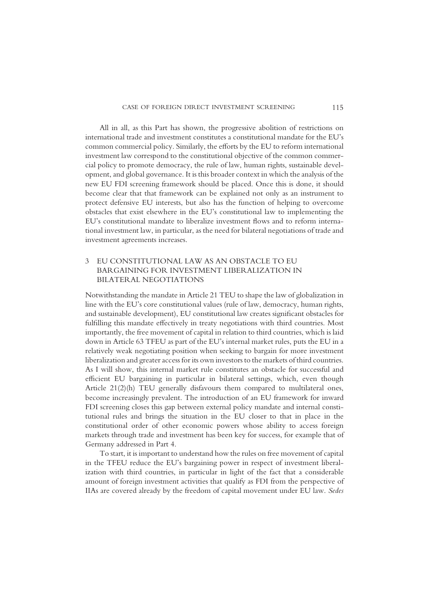All in all, as this Part has shown, the progressive abolition of restrictions on international trade and investment constitutes a constitutional mandate for the EU's common commercial policy. Similarly, the efforts by the EU to reform international investment law correspond to the constitutional objective of the common commercial policy to promote democracy, the rule of law, human rights, sustainable development, and global governance. It is this broader context in which the analysis of the new EU FDI screening framework should be placed. Once this is done, it should become clear that that framework can be explained not only as an instrument to protect defensive EU interests, but also has the function of helping to overcome obstacles that exist elsewhere in the EU's constitutional law to implementing the EU's constitutional mandate to liberalize investment flows and to reform international investment law, in particular, as the need for bilateral negotiations of trade and investment agreements increases.

## 3 EU CONSTITUTIONAL LAW AS AN OBSTACLE TO EU BARGAINING FOR INVESTMENT LIBERALIZATION IN BILATERAL NEGOTIATIONS

Notwithstanding the mandate in Article 21 TEU to shape the law of globalization in line with the EU's core constitutional values (rule of law, democracy, human rights, and sustainable development), EU constitutional law creates significant obstacles for fulfilling this mandate effectively in treaty negotiations with third countries. Most importantly, the free movement of capital in relation to third countries, which is laid down in Article 63 TFEU as part of the EU's internal market rules, puts the EU in a relatively weak negotiating position when seeking to bargain for more investment liberalization and greater access for its own investors to the markets of third countries. As I will show, this internal market rule constitutes an obstacle for successful and efficient EU bargaining in particular in bilateral settings, which, even though Article 21(2)(h) TEU generally disfavours them compared to multilateral ones, become increasingly prevalent. The introduction of an EU framework for inward FDI screening closes this gap between external policy mandate and internal constitutional rules and brings the situation in the EU closer to that in place in the constitutional order of other economic powers whose ability to access foreign markets through trade and investment has been key for success, for example that of Germany addressed in Part 4.

To start, it is important to understand how the rules on free movement of capital in the TFEU reduce the EU's bargaining power in respect of investment liberalization with third countries, in particular in light of the fact that a considerable amount of foreign investment activities that qualify as FDI from the perspective of IIAs are covered already by the freedom of capital movement under EU law. Sedes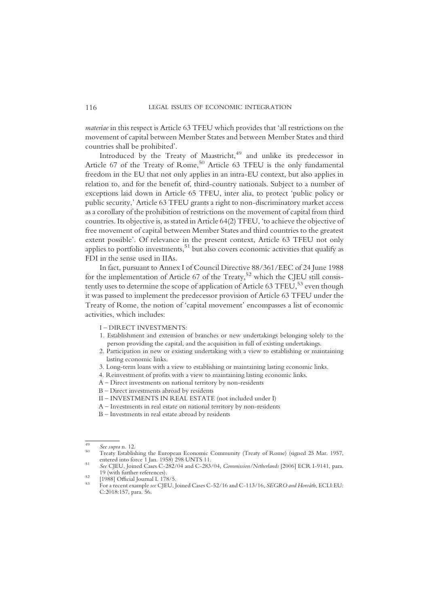materiae in this respect is Article 63 TFEU which provides that 'all restrictions on the movement of capital between Member States and between Member States and third countries shall be prohibited'.

Introduced by the Treaty of Maastricht, $49$  and unlike its predecessor in Article 67 of the Treaty of Rome,<sup>50</sup> Article 63 TFEU is the only fundamental freedom in the EU that not only applies in an intra-EU context, but also applies in relation to, and for the benefit of, third-country nationals. Subject to a number of exceptions laid down in Article 65 TFEU, inter alia, to protect 'public policy or public security,' Article 63 TFEU grants a right to non-discriminatory market access as a corollary of the prohibition of restrictions on the movement of capital from third countries. Its objective is, as stated in Article 64(2) TFEU, 'to achieve the objective of free movement of capital between Member States and third countries to the greatest extent possible'. Of relevance in the present context, Article 63 TFEU not only applies to portfolio investments,  $51$  but also covers economic activities that qualify as FDI in the sense used in IIAs.

In fact, pursuant to Annex I of Council Directive 88/361/EEC of 24 June 1988 for the implementation of Article 67 of the Treaty, $52$  which the CJEU still consistently uses to determine the scope of application of Article 63 TFEU,  $53$  even though it was passed to implement the predecessor provision of Article 63 TFEU under the Treaty of Rome, the notion of 'capital movement' encompasses a list of economic activities, which includes:

I – DIRECT INVESTMENTS:

- 1. Establishment and extension of branches or new undertakings belonging solely to the person providing the capital, and the acquisition in full of existing undertakings.
- 2. Participation in new or existing undertaking with a view to establishing or maintaining lasting economic links.
- 3. Long-term loans with a view to establishing or maintaining lasting economic links.
- 4. Reinvestment of profits with a view to maintaining lasting economic links.
- A Direct investments on national territory by non-residents
- B Direct investments abroad by residents
- II INVESTMENTS IN REAL ESTATE (not included under I)
- A Investments in real estate on national territory by non-residents
- B Investments in real estate abroad by residents

<sup>&</sup>lt;sup>49</sup> See supra n. 12.<br><sup>50</sup> Treaty Establishing the European Economic Community (Treaty of Rome) (signed 25 Mar. 1957, entered into force 1 Jan. 1958) 298 UNTS 11.

sa Gentered into force 1 Jan. 1958) 298 UNTS 12.<br>
See CJEU, Joined Cases C-282/04 and C-283/04, Commission/Netherlands [2006] ECR I-9141, para.<br>
19 (with further references).

<sup>1988]</sup> Official Journal L 178/5.<br>
1988] Official Journal L 178/5.<br>
53 For a recent example see CJEU, Joined Cases C-52/16 and C-113/16, SEGRO and Horváth, ECLI:EU: C:2018:157, para. 56.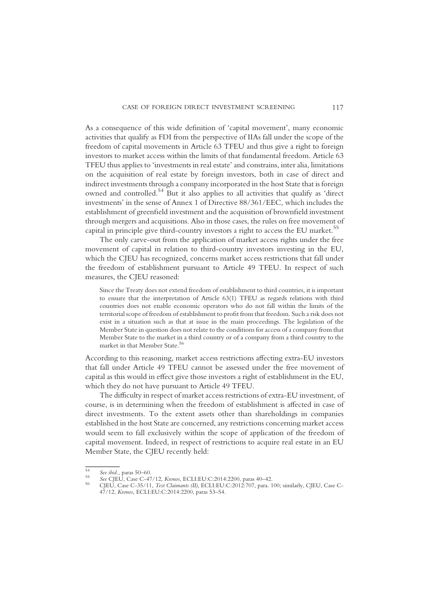As a consequence of this wide definition of 'capital movement', many economic activities that qualify as FDI from the perspective of IIAs fall under the scope of the freedom of capital movements in Article 63 TFEU and thus give a right to foreign investors to market access within the limits of that fundamental freedom. Article 63 TFEU thus applies to 'investments in real estate' and constrains, inter alia, limitations on the acquisition of real estate by foreign investors, both in case of direct and indirect investments through a company incorporated in the host State that is foreign owned and controlled.<sup>54</sup> But it also applies to all activities that qualify as 'direct investments' in the sense of Annex 1 of Directive 88/361/EEC, which includes the establishment of greenfield investment and the acquisition of brownfield investment through mergers and acquisitions. Also in those cases, the rules on free movement of capital in principle give third-country investors a right to access the EU market.<sup>55</sup>

The only carve-out from the application of market access rights under the free movement of capital in relation to third-country investors investing in the EU, which the CJEU has recognized, concerns market access restrictions that fall under the freedom of establishment pursuant to Article 49 TFEU. In respect of such measures, the CJEU reasoned:

Since the Treaty does not extend freedom of establishment to third countries, it is important to ensure that the interpretation of Article 63(1) TFEU as regards relations with third countries does not enable economic operators who do not fall within the limits of the territorial scope of freedom of establishment to profit from that freedom. Such a risk does not exist in a situation such as that at issue in the main proceedings. The legislation of the Member State in question does not relate to the conditions for access of a company from that Member State to the market in a third country or of a company from a third country to the market in that Member State.<sup>56</sup>

According to this reasoning, market access restrictions affecting extra-EU investors that fall under Article 49 TFEU cannot be assessed under the free movement of capital as this would in effect give those investors a right of establishment in the EU, which they do not have pursuant to Article 49 TFEU.

The difficulty in respect of market access restrictions of extra-EU investment, of course, is in determining when the freedom of establishment is affected in case of direct investments. To the extent assets other than shareholdings in companies established in the host State are concerned, any restrictions concerning market access would seem to fall exclusively within the scope of application of the freedom of capital movement. Indeed, in respect of restrictions to acquire real estate in an EU Member State, the CJEU recently held:

<sup>54</sup> See ibid., paras 50–60.<br>55 See CJEU, Case C-47/12, Kronos, ECLI:EU:C:2014:2200, paras 40–42.<br><sup>56</sup> CJEU, Case C-35/11, *Test Claimants (II)*, ECLI:EU:C:2012:707, para. 100; similarly, CJEU, Case C-47/12, Kronos, ECLI:EU:C:2014:2200, paras 53–54.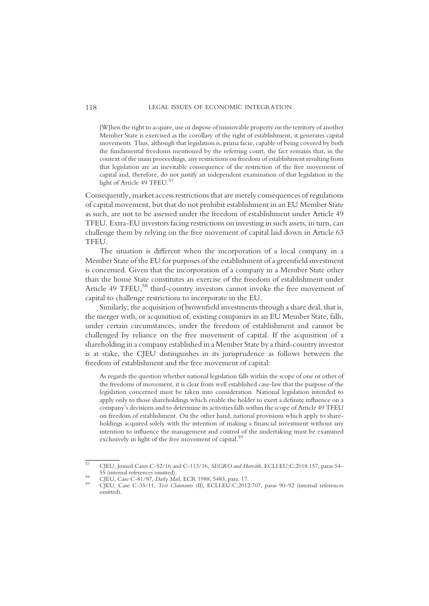[W]hen the right to acquire, use or dispose of immovable property on the territory of another Member State is exercised as the corollary of the right of establishment, it generates capital movements. Thus, although that legislation is, prima facie, capable of being covered by both the fundamental freedoms mentioned by the referring court, the fact remains that, in the context of the main proceedings, any restrictions on freedom of establishment resulting from that legislation are an inevitable consequence of the restriction of the free movement of capital and, therefore, do not justify an independent examination of that legislation in the light of Article 49 TFEU.<sup>57</sup>

Consequently, market access restrictions that are merely consequences of regulations of capital movement, but that do not prohibit establishment in an EU Member State as such, are not to be assessed under the freedom of establishment under Article 49 TFEU. Extra-EU investors facing restrictions on investing in such assets, in turn, can challenge them by relying on the free movement of capital laid down in Article 63 **TFEU** 

The situation is different when the incorporation of a local company in a Member State of the EU for purposes of the establishment of a greenfield investment is concerned. Given that the incorporation of a company in a Member State other than the home State constitutes an exercise of the freedom of establishment under Article 49 TFEU,<sup>58</sup> third-country investors cannot invoke the free movement of capital to challenge restrictions to incorporate in the EU.

Similarly, the acquisition of brownfield investments through a share deal, that is, the merger with, or acquisition of, existing companies in an EU Member State, falls, under certain circumstances, under the freedom of establishment and cannot be challenged by reliance on the free movement of capital. If the acquisition of a shareholding in a company established in a Member State by a third-country investor is at stake, the CJEU distinguishes in its jurisprudence as follows between the freedom of establishment and the free movement of capital:

As regards the question whether national legislation falls within the scope of one or other of the freedoms of movement, it is clear from well established case-law that the purpose of the legislation concerned must be taken into consideration. National legislation intended to apply only to those shareholdings which enable the holder to exert a definite influence on a company's decisions and to determine its activities falls within the scope of Article 49 TFEU on freedom of establishment. On the other hand, national provisions which apply to shareholdings acquired solely with the intention of making a financial investment without any intention to influence the management and control of the undertaking must be examined exclusively in light of the free movement of capital.<sup>59</sup>

 $57$  CJEU, Joined Cases C-52/16 and C-113/16, *SEGRO and Horváth*, ECLI:EU:C:2018:157, paras 54–55 (internal references omitted).

<sup>55 (</sup>internal references omitted). <sup>58</sup> CJEU, Case C-81/87, Daily Mail, ECR 1988, 5483, para. 17. <sup>59</sup> CJEU, Case C-35/11, Test Claimants (II), ECLI:EU:C:2012:707, paras 90–92 (internal references omitted).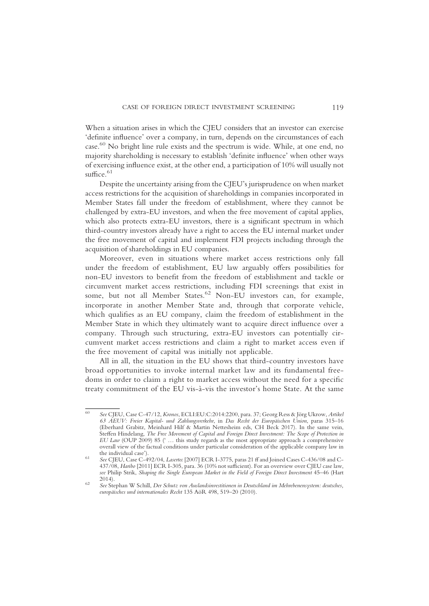When a situation arises in which the CJEU considers that an investor can exercise 'definite influence' over a company, in turn, depends on the circumstances of each case. <sup>60</sup> No bright line rule exists and the spectrum is wide. While, at one end, no majority shareholding is necessary to establish 'definite influence' when other ways of exercising influence exist, at the other end, a participation of 10% will usually not suffice. 61

Despite the uncertainty arising from the CJEU's jurisprudence on when market access restrictions for the acquisition of shareholdings in companies incorporated in Member States fall under the freedom of establishment, where they cannot be challenged by extra-EU investors, and when the free movement of capital applies, which also protects extra-EU investors, there is a significant spectrum in which third-country investors already have a right to access the EU internal market under the free movement of capital and implement FDI projects including through the acquisition of shareholdings in EU companies.

Moreover, even in situations where market access restrictions only fall under the freedom of establishment, EU law arguably offers possibilities for non-EU investors to benefit from the freedom of establishment and tackle or circumvent market access restrictions, including FDI screenings that exist in some, but not all Member States.<sup>62</sup> Non-EU investors can, for example, incorporate in another Member State and, through that corporate vehicle, which qualifies as an EU company, claim the freedom of establishment in the Member State in which they ultimately want to acquire direct influence over a company. Through such structuring, extra-EU investors can potentially circumvent market access restrictions and claim a right to market access even if the free movement of capital was initially not applicable.

All in all, the situation in the EU shows that third-country investors have broad opportunities to invoke internal market law and its fundamental freedoms in order to claim a right to market access without the need for a specific treaty commitment of the EU vis-à-vis the investor's home State. At the same

<sup>60</sup> See CJEU, Case C-47/12, Kronos, ECLI:EU:C:2014:2200, para. 37; Georg Ress & Jörg Ukrow, Artikel 63 AEUV: Freier Kapital- und Zahlungsverkehr, in Das Recht der Europäischen Union, paras 315–16 (Eberhard Grabitz, Meinhard Hilf & Martin Nettesheim eds, CH Beck 2017). In the same vein, Steffen Hindelang, The Free Movement of Capital and Foreign Direct Investment: The Scope of Protection in EU Law (OUP 2009) 85 (' … this study regards as the most appropriate approach a comprehensive overall view of the factual conditions under particular consideration of the applicable company law in

the individual case C-492/04, *Lasertec* [2007] ECR I-3775, paras 21 ff and Joined Cases C-436/08 and C-437/08, Haribo [2011] ECR I-305, para. 36 (10% not sufficient). For an overview over CJEU case law, see Philip Strik, Shaping the Single European Market in the Field of Foreign Direct Investment 45–46 (Hart 2014).

<sup>2014).</sup> <sup>62</sup> See Stephan W Schill, Der Schutz von Auslandsinvestitionen in Deutschland im Mehrebenensystem: deutsches, europäisches und internationales Recht 135 AöR 498, 519–20 (2010).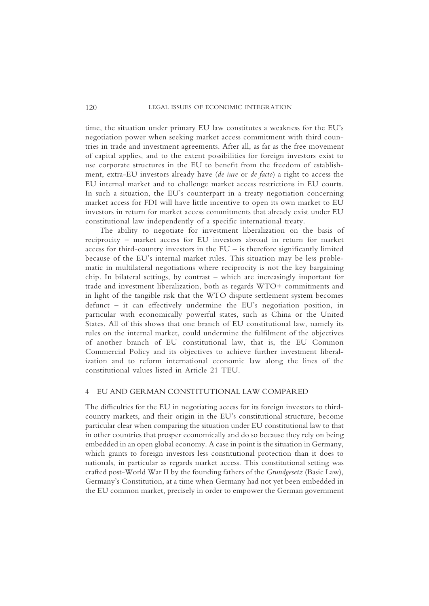time, the situation under primary EU law constitutes a weakness for the EU's negotiation power when seeking market access commitment with third countries in trade and investment agreements. After all, as far as the free movement of capital applies, and to the extent possibilities for foreign investors exist to use corporate structures in the EU to benefit from the freedom of establishment, extra-EU investors already have (de iure or de facto) a right to access the EU internal market and to challenge market access restrictions in EU courts. In such a situation, the EU's counterpart in a treaty negotiation concerning market access for FDI will have little incentive to open its own market to EU investors in return for market access commitments that already exist under EU constitutional law independently of a specific international treaty.

The ability to negotiate for investment liberalization on the basis of reciprocity – market access for EU investors abroad in return for market access for third-country investors in the  $EU$  – is therefore significantly limited because of the EU's internal market rules. This situation may be less problematic in multilateral negotiations where reciprocity is not the key bargaining chip. In bilateral settings, by contrast – which are increasingly important for trade and investment liberalization, both as regards WTO+ commitments and in light of the tangible risk that the WTO dispute settlement system becomes defunct – it can effectively undermine the EU's negotiation position, in particular with economically powerful states, such as China or the United States. All of this shows that one branch of EU constitutional law, namely its rules on the internal market, could undermine the fulfilment of the objectives of another branch of EU constitutional law, that is, the EU Common Commercial Policy and its objectives to achieve further investment liberalization and to reform international economic law along the lines of the constitutional values listed in Article 21 TEU.

#### 4 EU AND GERMAN CONSTITUTIONAL LAW COMPARED

The difficulties for the EU in negotiating access for its foreign investors to thirdcountry markets, and their origin in the EU's constitutional structure, become particular clear when comparing the situation under EU constitutional law to that in other countries that prosper economically and do so because they rely on being embedded in an open global economy. A case in point is the situation in Germany, which grants to foreign investors less constitutional protection than it does to nationals, in particular as regards market access. This constitutional setting was crafted post-World War II by the founding fathers of the Grundgesetz (Basic Law), Germany's Constitution, at a time when Germany had not yet been embedded in the EU common market, precisely in order to empower the German government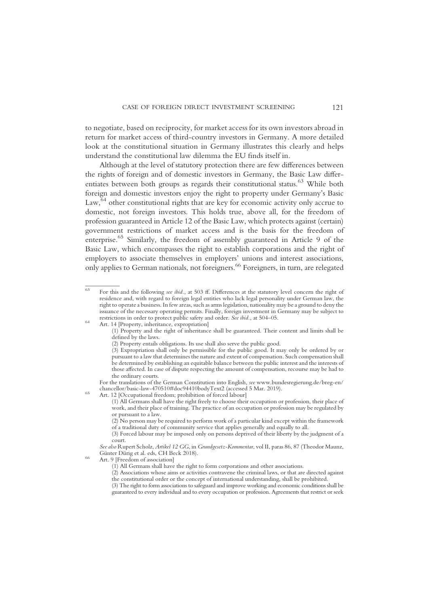to negotiate, based on reciprocity, for market access for its own investors abroad in return for market access of third-country investors in Germany. A more detailed look at the constitutional situation in Germany illustrates this clearly and helps understand the constitutional law dilemma the EU finds itself in.

Although at the level of statutory protection there are few differences between the rights of foreign and of domestic investors in Germany, the Basic Law differentiates between both groups as regards their constitutional status.<sup>63</sup> While both foreign and domestic investors enjoy the right to property under Germany's Basic Law,<sup>64</sup> other constitutional rights that are key for economic activity only accrue to domestic, not foreign investors. This holds true, above all, for the freedom of profession guaranteed in Article 12 of the Basic Law, which protects against (certain) government restrictions of market access and is the basis for the freedom of enterprise.65 Similarly, the freedom of assembly guaranteed in Article 9 of the Basic Law, which encompasses the right to establish corporations and the right of employers to associate themselves in employers' unions and interest associations, only applies to German nationals, not foreigners.66 Foreigners, in turn, are relegated

 $\overline{63}$  For this and the following see ibid., at 503 ff. Differences at the statutory level concern the right of residence and, with regard to foreign legal entities who lack legal personality under German law, the right to operate a business. In few areas, such as arms legislation, nationality may be a ground to deny the issuance of the necessary operating permits. Finally, foreign investment in Germany may be subject to restrictions in order to protect public safety and order. See ibid., at 504–05. <sup>64</sup> Art. 14 [Property, inheritance, expropriation]

<sup>(1)</sup> Property and the right of inheritance shall be guaranteed. Their content and limits shall be defined by the laws.

<sup>(2)</sup> Property entails obligations. Its use shall also serve the public good.

<sup>(3)</sup> Expropriation shall only be permissible for the public good. It may only be ordered by or pursuant to a law that determines the nature and extent of compensation. Such compensation shall be determined by establishing an equitable balance between the public interest and the interests of those affected. In case of dispute respecting the amount of compensation, recourse may be had to the ordinary courts.

For the translations of the German Constitution into English, see www.bundesregierung.de/breg-en/ chancellor/basic-law-470510#doc94410bodyText2 (accessed 5 Mar. 2019). <sup>65</sup> Art. 12 [Occupational freedom; prohibition of forced labour]

<sup>(1)</sup> All Germans shall have the right freely to choose their occupation or profession, their place of work, and their place of training. The practice of an occupation or profession may be regulated by or pursuant to a law.

 $(2)$  No person may be required to perform work of a particular kind except within the framework of a traditional duty of community service that applies generally and equally to all.

<sup>(3)</sup> Forced labour may be imposed only on persons deprived of their liberty by the judgment of a court.

See also Rupert Scholz, Artikel 12 GG, in Grundgesetz-Kommentar, vol II, paras 86, 87 (Theodor Maunz, 66 Günter Dürig et al. eds, CH Beck 2018).<br>66 Art. 9 [Freedom of association]

<sup>(1)</sup> All Germans shall have the right to form corporations and other associations.

<sup>(2)</sup> Associations whose aims or activities contravene the criminal laws, or that are directed against the constitutional order or the concept of international understanding, shall be prohibited.

<sup>(3)</sup> The right to form associations to safeguard and improve working and economic conditions shall be guaranteed to every individual and to every occupation or profession. Agreements that restrict or seek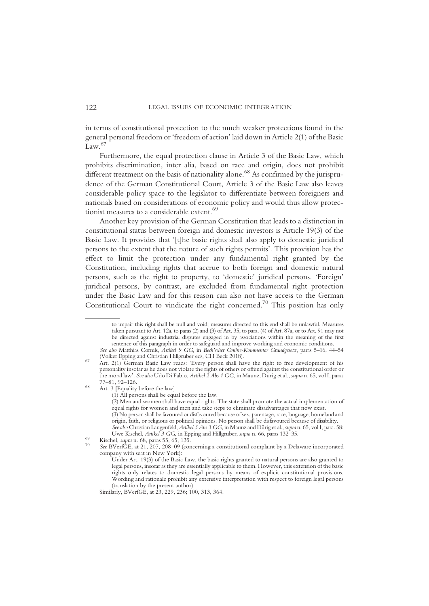in terms of constitutional protection to the much weaker protections found in the general personal freedom or 'freedom of action' laid down in Article 2(1) of the Basic  $\sum_{\text{Law}}$  67

Furthermore, the equal protection clause in Article 3 of the Basic Law, which prohibits discrimination, inter alia, based on race and origin, does not prohibit different treatment on the basis of nationality alone.<sup>68</sup> As confirmed by the jurisprudence of the German Constitutional Court, Article 3 of the Basic Law also leaves considerable policy space to the legislator to differentiate between foreigners and nationals based on considerations of economic policy and would thus allow protectionist measures to a considerable extent.<sup>69</sup>

Another key provision of the German Constitution that leads to a distinction in constitutional status between foreign and domestic investors is Article 19(3) of the Basic Law. It provides that '[t]he basic rights shall also apply to domestic juridical persons to the extent that the nature of such rights permits'. This provision has the effect to limit the protection under any fundamental right granted by the Constitution, including rights that accrue to both foreign and domestic natural persons, such as the right to property, to 'domestic' juridical persons. 'Foreign' juridical persons, by contrast, are excluded from fundamental right protection under the Basic Law and for this reason can also not have access to the German Constitutional Court to vindicate the right concerned.<sup>70</sup> This position has only

to impair this right shall be null and void; measures directed to this end shall be unlawful. Measures taken pursuant to Art. 12a, to paras (2) and (3) of Art. 35, to para. (4) of Art. 87a, or to Art. 91 may not be directed against industrial disputes engaged in by associations within the meaning of the first sentence of this paragraph in order to safeguard and improve working and economic conditions.

See also Matthias Cornils, Artikel 9 GG, in Beck'scher Online-Kommentar Grundgesetz, paras 5–16, 44–54 (Volker Epping and Christian Hillgruber eds, CH Beck 2018).

<sup>(</sup>Volker Epping and Christian Hillgruber eds, CH Beck 2018). <sup>67</sup> Art. 2(1) German Basic Law reads: 'Every person shall have the right to free development of his personality insofar as he does not violate the rights of others or offend against the constitutional order or the moral law'. See also Udo Di Fabio, Artikel 2 Abs 1 GG, in Maunz, Dürig et al., supra n. 65, vol I, paras<br>77–81, 92–126.

 $68$  Art. 3 [Equality before the law]

<sup>(1)</sup> All persons shall be equal before the law.

<sup>(2)</sup> Men and women shall have equal rights. The state shall promote the actual implementation of equal rights for women and men and take steps to eliminate disadvantages that now exist. (3) No person shall be favoured or disfavoured because of sex, parentage, race, language, homeland and

origin, faith, or religious or political opinions. No person shall be disfavoured because of disability. See also Christian Langenfeld, Artikel 3 Abs 3 GG, in Maunz and Dürig et al., supra n. 65, vol I, para. 58: Uwe Kischel, Artikel 3 GG, in Epping and Hillgruber, supra n. 66, paras 132–35.

USE SUGG,  $\frac{1}{2}$  Gg, in Epping and Hillgrader, supra n. 66, paras 132–35. 69 Kischel, supra n. 68, paras 55, 65, 135.  $\frac{1}{2}$  See BVerfGE, at 21, 207, 208–09 (concerning a constitutional complaint by a Delaware incor company with seat in New York):

Under Art. 19(3) of the Basic Law, the basic rights granted to natural persons are also granted to legal persons, insofar as they are essentially applicable to them. However, this extension of the basic rights only relates to domestic legal persons by means of explicit constitutional provisions. Wording and rationale prohibit any extensive interpretation with respect to foreign legal persons (translation by the present author).

Similarly, BVerfGE, at 23, 229, 236; 100, 313, 364.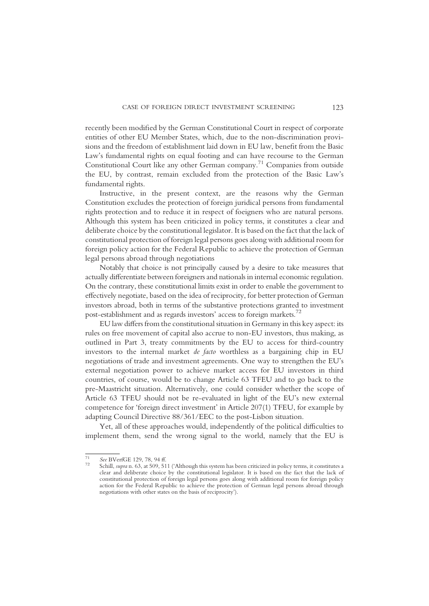recently been modified by the German Constitutional Court in respect of corporate entities of other EU Member States, which, due to the non-discrimination provisions and the freedom of establishment laid down in EU law, benefit from the Basic Law's fundamental rights on equal footing and can have recourse to the German Constitutional Court like any other German company.71 Companies from outside the EU, by contrast, remain excluded from the protection of the Basic Law's fundamental rights.

Instructive, in the present context, are the reasons why the German Constitution excludes the protection of foreign juridical persons from fundamental rights protection and to reduce it in respect of foeigners who are natural persons. Although this system has been criticized in policy terms, it constitutes a clear and deliberate choice by the constitutional legislator. It is based on the fact that the lack of constitutional protection of foreign legal persons goes along with additional room for foreign policy action for the Federal Republic to achieve the protection of German legal persons abroad through negotiations

Notably that choice is not principally caused by a desire to take measures that actually differentiate between foreigners and nationals in internal economic regulation. On the contrary, these constitutional limits exist in order to enable the government to effectively negotiate, based on the idea of reciprocity, for better protection of German investors abroad, both in terms of the substantive protections granted to investment post-establishment and as regards investors' access to foreign markets.72

EU law differs from the constitutional situation in Germany in this key aspect: its rules on free movement of capital also accrue to non-EU investors, thus making, as outlined in Part 3, treaty commitments by the EU to access for third-country investors to the internal market de facto worthless as a bargaining chip in EU negotiations of trade and investment agreements. One way to strengthen the EU's external negotiation power to achieve market access for EU investors in third countries, of course, would be to change Article 63 TFEU and to go back to the pre-Maastricht situation. Alternatively, one could consider whether the scope of Article 63 TFEU should not be re-evaluated in light of the EU's new external competence for 'foreign direct investment' in Article 207(1) TFEU, for example by adapting Council Directive 88/361/EEC to the post-Lisbon situation.

Yet, all of these approaches would, independently of the political difficulties to implement them, send the wrong signal to the world, namely that the EU is

 $\frac{71}{72}$  See BVerfGE 129, 78, 94 ff.<br><sup>72</sup> Schill, *supra* n. 63, at 509, 511 ('Although this system has been criticized in policy terms, it constitutes a clear and deliberate choice by the constitutional legislator. It is based on the fact that the lack of constitutional protection of foreign legal persons goes along with additional room for foreign policy action for the Federal Republic to achieve the protection of German legal persons abroad through negotiations with other states on the basis of reciprocity').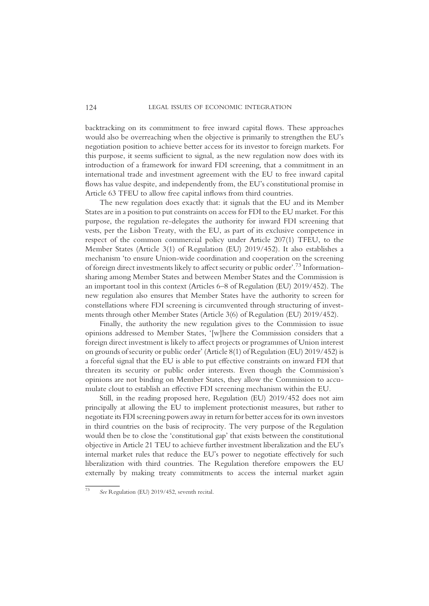backtracking on its commitment to free inward capital flows. These approaches would also be overreaching when the objective is primarily to strengthen the EU's negotiation position to achieve better access for its investor to foreign markets. For this purpose, it seems sufficient to signal, as the new regulation now does with its introduction of a framework for inward FDI screening, that a commitment in an international trade and investment agreement with the EU to free inward capital flows has value despite, and independently from, the EU's constitutional promise in Article 63 TFEU to allow free capital inflows from third countries.

The new regulation does exactly that: it signals that the EU and its Member States are in a position to put constraints on access for FDI to the EU market. For this purpose, the regulation re-delegates the authority for inward FDI screening that vests, per the Lisbon Treaty, with the EU, as part of its exclusive competence in respect of the common commercial policy under Article 207(1) TFEU, to the Member States (Article 3(1) of Regulation (EU) 2019/452). It also establishes a mechanism 'to ensure Union-wide coordination and cooperation on the screening of foreign direct investments likely to affect security or public order'. <sup>73</sup> Informationsharing among Member States and between Member States and the Commission is an important tool in this context (Articles 6–8 of Regulation (EU) 2019/452). The new regulation also ensures that Member States have the authority to screen for constellations where FDI screening is circumvented through structuring of investments through other Member States (Article 3(6) of Regulation (EU) 2019/452).

Finally, the authority the new regulation gives to the Commission to issue opinions addressed to Member States, '[w]here the Commission considers that a foreign direct investment is likely to affect projects or programmes of Union interest on grounds of security or public order' (Article 8(1) of Regulation (EU) 2019/452) is a forceful signal that the EU is able to put effective constraints on inward FDI that threaten its security or public order interests. Even though the Commission's opinions are not binding on Member States, they allow the Commission to accumulate clout to establish an effective FDI screening mechanism within the EU.

Still, in the reading proposed here, Regulation (EU) 2019/452 does not aim principally at allowing the EU to implement protectionist measures, but rather to negotiate its FDI screening powers away in return for better access for its own investors in third countries on the basis of reciprocity. The very purpose of the Regulation would then be to close the 'constitutional gap' that exists between the constitutional objective in Article 21 TEU to achieve further investment liberalization and the EU's internal market rules that reduce the EU's power to negotiate effectively for such liberalization with third countries. The Regulation therefore empowers the EU externally by making treaty commitments to access the internal market again

<sup>73</sup> See Regulation (EU) 2019/452, seventh recital.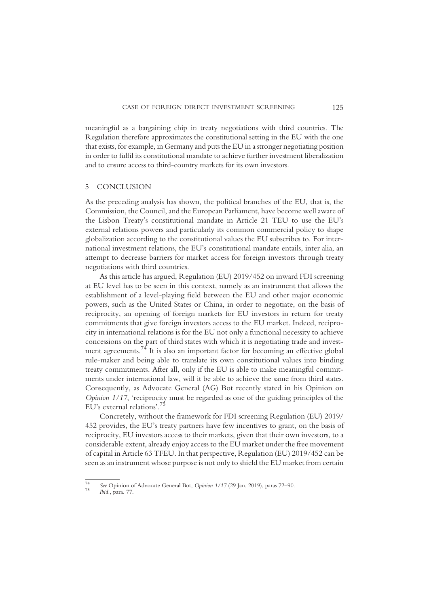meaningful as a bargaining chip in treaty negotiations with third countries. The Regulation therefore approximates the constitutional setting in the EU with the one that exists, for example, in Germany and puts the EU in a stronger negotiating position in order to fulfil its constitutional mandate to achieve further investment liberalization and to ensure access to third-country markets for its own investors.

#### 5 CONCLUSION

As the preceding analysis has shown, the political branches of the EU, that is, the Commission, the Council, and the European Parliament, have become well aware of the Lisbon Treaty's constitutional mandate in Article 21 TEU to use the EU's external relations powers and particularly its common commercial policy to shape globalization according to the constitutional values the EU subscribes to. For international investment relations, the EU's constitutional mandate entails, inter alia, an attempt to decrease barriers for market access for foreign investors through treaty negotiations with third countries.

As this article has argued, Regulation (EU) 2019/452 on inward FDI screening at EU level has to be seen in this context, namely as an instrument that allows the establishment of a level-playing field between the EU and other major economic powers, such as the United States or China, in order to negotiate, on the basis of reciprocity, an opening of foreign markets for EU investors in return for treaty commitments that give foreign investors access to the EU market. Indeed, reciprocity in international relations is for the EU not only a functional necessity to achieve concessions on the part of third states with which it is negotiating trade and investment agreements.<sup>74</sup> It is also an important factor for becoming an effective global rule-maker and being able to translate its own constitutional values into binding treaty commitments. After all, only if the EU is able to make meaningful commitments under international law, will it be able to achieve the same from third states. Consequently, as Advocate General (AG) Bot recently stated in his Opinion on Opinion 1/17, 'reciprocity must be regarded as one of the guiding principles of the EU's external relations'. 75

Concretely, without the framework for FDI screening Regulation (EU) 2019/ 452 provides, the EU's treaty partners have few incentives to grant, on the basis of reciprocity, EU investors access to their markets, given that their own investors, to a considerable extent, already enjoy access to the EU market under the free movement of capital in Article 63 TFEU. In that perspective, Regulation (EU) 2019/452 can be seen as an instrument whose purpose is not only to shield the EU market from certain

<sup>&</sup>lt;sup>74</sup> See Opinion of Advocate General Bot, Opinion  $1/17$  (29 Jan. 2019), paras 72–90.<br><sup>75</sup> Ibid., para. 77.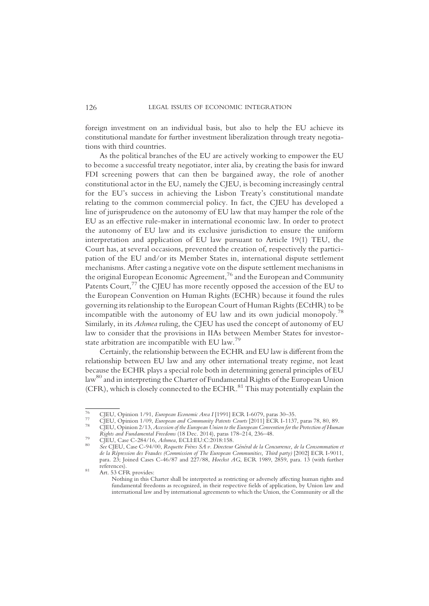foreign investment on an individual basis, but also to help the EU achieve its constitutional mandate for further investment liberalization through treaty negotiations with third countries.

As the political branches of the EU are actively working to empower the EU to become a successful treaty negotiator, inter alia, by creating the basis for inward FDI screening powers that can then be bargained away, the role of another constitutional actor in the EU, namely the CJEU, is becoming increasingly central for the EU's success in achieving the Lisbon Treaty's constitutional mandate relating to the common commercial policy. In fact, the CJEU has developed a line of jurisprudence on the autonomy of EU law that may hamper the role of the EU as an effective rule-maker in international economic law. In order to protect the autonomy of EU law and its exclusive jurisdiction to ensure the uniform interpretation and application of EU law pursuant to Article 19(1) TEU, the Court has, at several occasions, prevented the creation of, respectively the participation of the EU and/or its Member States in, international dispute settlement mechanisms. After casting a negative vote on the dispute settlement mechanisms in the original European Economic Agreement,<sup>76</sup> and the European and Community Patents Court,<sup>77</sup> the CJEU has more recently opposed the accession of the EU to the European Convention on Human Rights (ECHR) because it found the rules governing its relationship to the European Court of Human Rights (ECtHR) to be incompatible with the autonomy of EU law and its own judicial monopoly.<sup>78</sup> Similarly, in its Achmea ruling, the CJEU has used the concept of autonomy of EU law to consider that the provisions in IIAs between Member States for investorstate arbitration are incompatible with EU law.<sup>79</sup>

Certainly, the relationship between the ECHR and EU law is different from the relationship between EU law and any other international treaty regime, not least because the ECHR plays a special role both in determining general principles of EU law<sup>80</sup> and in interpreting the Charter of Fundamental Rights of the European Union (CFR), which is closely connected to the ECHR. $^{81}$  This may potentially explain the

CJEU, Opinion 1/91, European Economic Area I [1991] ECR I-6079, paras 30–35.<br>
CJEU, Opinion 1/09, European and Community Patents Courts [2011] ECR I-1137, paras 78, 80, 89.<br>
CJEU, Opinion 2/13, Accession of the European Un

The CIFU, Case C-284/16, Achimea, ECLI:EU:C:2018:158.<br><sup>80</sup> See CJEU, Case C-284/16, Achimea, ECLI:EU:C:2018:158.<br><sup>80</sup> See CJEU, Case C-94/00, Roquette Frères SA v. Directeur Général de la Concurrence, de la Consommation et de la Répression des Fraudes (Commission of The European Communities, Third party) [2002] ECR I-9011, para. 23; Joined Cases C-46/87 and 227/88, *Hoechst AG*, ECR 1989, 2859, para. 13 (with further references).

<sup>&</sup>lt;sup>81</sup> Art. 53 CFR provides:

Nothing in this Charter shall be interpreted as restricting or adversely affecting human rights and fundamental freedoms as recognized, in their respective fields of application, by Union law and international law and by international agreements to which the Union, the Community or all the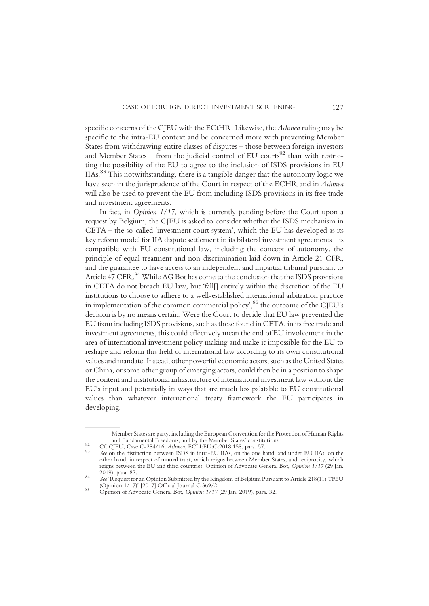specific concerns of the CJEU with the ECtHR. Likewise, the Achmea ruling may be specific to the intra-EU context and be concerned more with preventing Member States from withdrawing entire classes of disputes – those between foreign investors and Member States – from the judicial control of EU courts<sup>82</sup> than with restricting the possibility of the EU to agree to the inclusion of ISDS provisions in EU IIAs.83 This notwithstanding, there is a tangible danger that the autonomy logic we have seen in the jurisprudence of the Court in respect of the ECHR and in Achmea will also be used to prevent the EU from including ISDS provisions in its free trade and investment agreements.

In fact, in Opinion 1/17, which is currently pending before the Court upon a request by Belgium, the CJEU is asked to consider whether the ISDS mechanism in CETA – the so-called 'investment court system', which the EU has developed as its key reform model for IIA dispute settlement in its bilateral investment agreements – is compatible with EU constitutional law, including the concept of autonomy, the principle of equal treatment and non-discrimination laid down in Article 21 CFR, and the guarantee to have access to an independent and impartial tribunal pursuant to Article 47 CFR.<sup>84</sup> While AG Bot has come to the conclusion that the ISDS provisions in CETA do not breach EU law, but 'fall[] entirely within the discretion of the EU institutions to choose to adhere to a well-established international arbitration practice in implementation of the common commercial policy', <sup>85</sup> the outcome of the CJEU's decision is by no means certain. Were the Court to decide that EU law prevented the EU from including ISDS provisions, such as those found in CETA, in its free trade and investment agreements, this could effectively mean the end of EU involvement in the area of international investment policy making and make it impossible for the EU to reshape and reform this field of international law according to its own constitutional values and mandate. Instead, other powerful economic actors, such as the United States or China, or some other group of emerging actors, could then be in a position to shape the content and institutional infrastructure of international investment law without the EU's input and potentially in ways that are much less palatable to EU constitutional values than whatever international treaty framework the EU participates in developing.

Member States are party, including the European Convention for the Protection of Human Rights

<sup>82</sup> Cf. CJEU, Case C-284/16, *Admea*, ECLI:EU:C:2018:158, para. 57.<br><sup>83</sup> See on the distinction between ISDS in intra-EU IIAs, on the one hand, and under EU IIAs, on the other hand, in respect of mutual trust, which reigns between Member States, and reciprocity, which reigns between the EU and third countries, Opinion of Advocate General Bot, Opinion 1/17 (29 Jan. 2019), para. 82.

<sup>&</sup>lt;sup>84</sup> See 'Request for an Opinion Submitted by the Kingdom of Belgium Pursuant to Article 218(11) TFEU<br>(Opinion 1/17)' [2017] Official Journal C 369/2.

 $\frac{\text{S5}}{\text{Opinion of Advocte General Bot, *Opinion 1/17 (29 Jan. 2019)}*$ , para. 32.